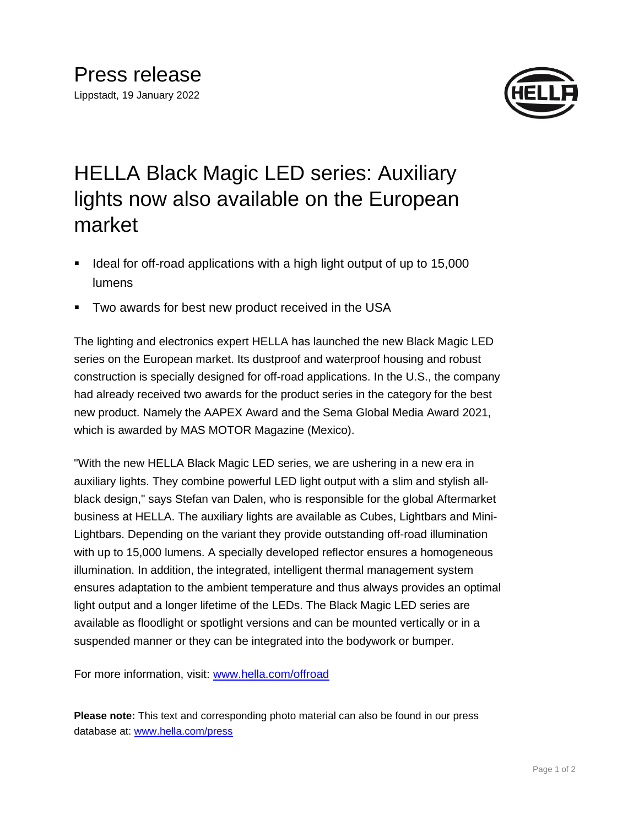

## HELLA Black Magic LED series: Auxiliary lights now also available on the European market

- Ideal for off-road applications with a high light output of up to 15,000 lumens
- Two awards for best new product received in the USA

The lighting and electronics expert HELLA has launched the new Black Magic LED series on the European market. Its dustproof and waterproof housing and robust construction is specially designed for off-road applications. In the U.S., the company had already received two awards for the product series in the category for the best new product. Namely the AAPEX Award and the Sema Global Media Award 2021, which is awarded by MAS MOTOR Magazine (Mexico).

"With the new HELLA Black Magic LED series, we are ushering in a new era in auxiliary lights. They combine powerful LED light output with a slim and stylish allblack design," says Stefan van Dalen, who is responsible for the global Aftermarket business at HELLA. The auxiliary lights are available as Cubes, Lightbars and Mini-Lightbars. Depending on the variant they provide outstanding off-road illumination with up to 15,000 lumens. A specially developed reflector ensures a homogeneous illumination. In addition, the integrated, intelligent thermal management system ensures adaptation to the ambient temperature and thus always provides an optimal light output and a longer lifetime of the LEDs. The Black Magic LED series are available as floodlight or spotlight versions and can be mounted vertically or in a suspended manner or they can be integrated into the bodywork or bumper.

For more information, visit: [www.hella.com/offroad](http://www.hella.com/offroad)

**Please note:** This text and corresponding photo material can also be found in our press database at: [www.hella.com/press](http://www.hella.com/press)